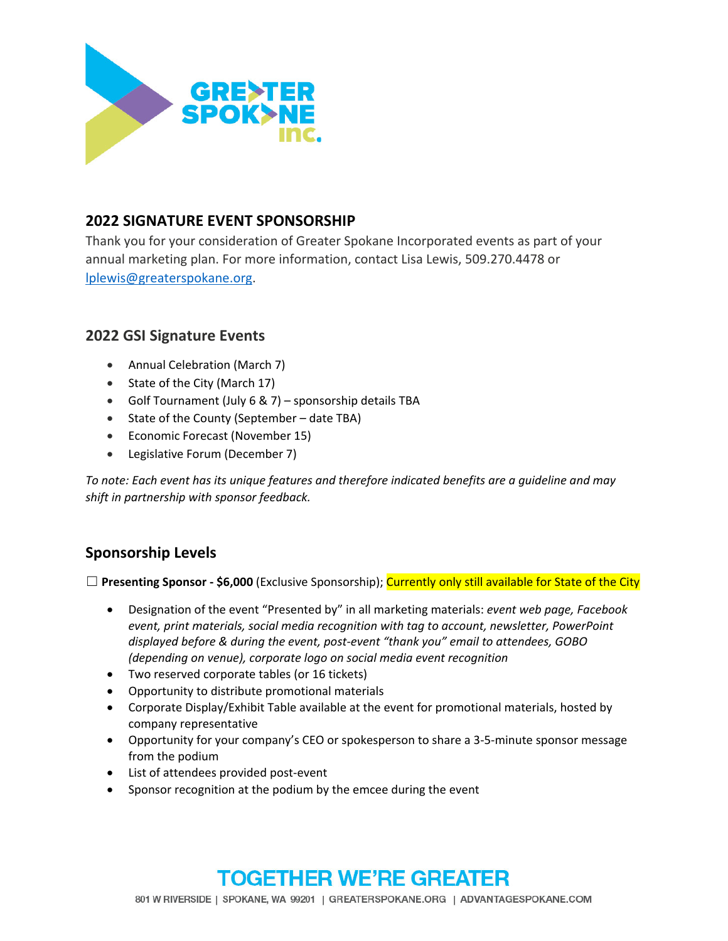

## **2022 SIGNATURE EVENT SPONSORSHIP**

Thank you for your consideration of Greater Spokane Incorporated events as part of your annual marketing plan. For more information, contact Lisa Lewis, 509.270.4478 or lplewis@greaterspokane.org.

## **2022 GSI Signature Events**

- Annual Celebration (March 7)
- State of the City (March 17)
- Golf Tournament (July 6 & 7) sponsorship details TBA
- State of the County (September date TBA)
- Economic Forecast (November 15)
- Legislative Forum (December 7)

*To note: Each event has its unique features and therefore indicated benefits are a guideline and may shift in partnership with sponsor feedback.* 

## **Sponsorship Levels**

☐ **Presenting Sponsor ‐ \$6,000** (Exclusive Sponsorship); Currently only still available for State of the City

- Designation of the event "Presented by" in all marketing materials: *event web page, Facebook event, print materials, social media recognition with tag to account, newsletter, PowerPoint displayed before & during the event, post‐event "thank you" email to attendees, GOBO (depending on venue), corporate logo on social media event recognition*
- Two reserved corporate tables (or 16 tickets)
- Opportunity to distribute promotional materials
- Corporate Display/Exhibit Table available at the event for promotional materials, hosted by company representative
- Opportunity for your company's CEO or spokesperson to share a 3‐5‐minute sponsor message from the podium
- List of attendees provided post-event
- Sponsor recognition at the podium by the emcee during the event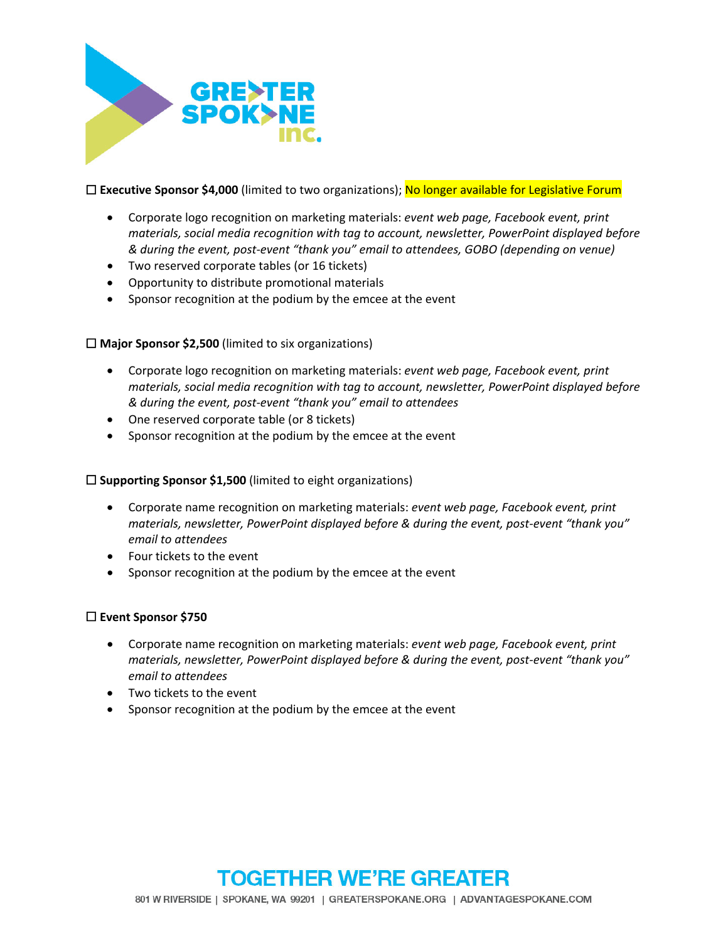

☐ **Executive Sponsor \$4,000** (limited to two organizations); No longer available for Legislative Forum

- Corporate logo recognition on marketing materials: *event web page, Facebook event, print materials, social media recognition with tag to account, newsletter, PowerPoint displayed before & during the event, post‐event "thank you" email to attendees, GOBO (depending on venue)*
- Two reserved corporate tables (or 16 tickets)
- Opportunity to distribute promotional materials
- Sponsor recognition at the podium by the emcee at the event

#### ☐ **Major Sponsor \$2,500** (limited to six organizations)

- Corporate logo recognition on marketing materials: *event web page, Facebook event, print materials, social media recognition with tag to account, newsletter, PowerPoint displayed before & during the event, post‐event "thank you" email to attendees*
- One reserved corporate table (or 8 tickets)
- Sponsor recognition at the podium by the emcee at the event

#### ☐ **Supporting Sponsor \$1,500** (limited to eight organizations)

- Corporate name recognition on marketing materials: *event web page, Facebook event, print materials, newsletter, PowerPoint displayed before & during the event, post‐event "thank you" email to attendees*
- Four tickets to the event
- Sponsor recognition at the podium by the emcee at the event

#### ☐ **Event Sponsor \$750**

- Corporate name recognition on marketing materials: *event web page, Facebook event, print materials, newsletter, PowerPoint displayed before & during the event, post‐event "thank you" email to attendees*
- Two tickets to the event
- Sponsor recognition at the podium by the emcee at the event